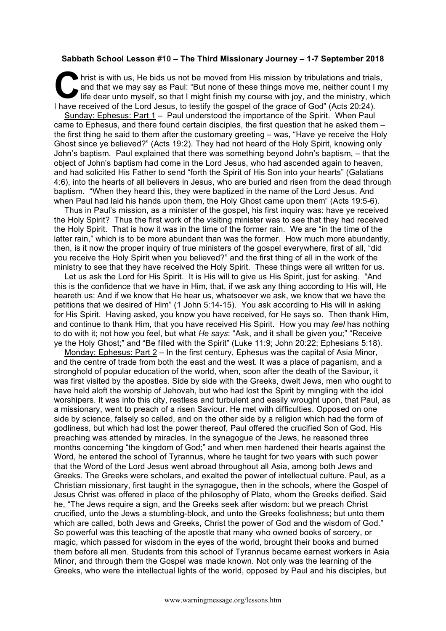## **Sabbath School Lesson #10 – The Third Missionary Journey – 1-7 September 2018**

hrist is with us, He bids us not be moved from His mission by tribulations and trials, and that we may say as Paul: "But none of these things move me, neither count I my life dear unto myself, so that I might finish my course with joy, and the ministry, which I have received of the Lord Jesus, to testify the gospel of the grace of God" (Acts 20:24). **C** hris

Sunday: Ephesus: Part 1 – Paul understood the importance of the Spirit. When Paul came to Ephesus, and there found certain disciples, the first question that he asked them – the first thing he said to them after the customary greeting – was, "Have ye receive the Holy Ghost since ye believed?" (Acts 19:2). They had not heard of the Holy Spirit, knowing only John's baptism. Paul explained that there was something beyond John's baptism, – that the object of John's baptism had come in the Lord Jesus, who had ascended again to heaven, and had solicited His Father to send "forth the Spirit of His Son into your hearts" (Galatians 4:6), into the hearts of all believers in Jesus, who are buried and risen from the dead through baptism. "When they heard this, they were baptized in the name of the Lord Jesus. And when Paul had laid his hands upon them, the Holy Ghost came upon them" (Acts 19:5-6).

Thus in Paul's mission, as a minister of the gospel, his first inquiry was: have ye received the Holy Spirit? Thus the first work of the visiting minister was to see that they had received the Holy Spirit. That is how it was in the time of the former rain. We are "in the time of the latter rain," which is to be more abundant than was the former. How much more abundantly, then, is it now the proper inquiry of true ministers of the gospel everywhere, first of all, "did you receive the Holy Spirit when you believed?" and the first thing of all in the work of the ministry to see that they have received the Holy Spirit. These things were all written for us.

Let us ask the Lord for His Spirit. It is His will to give us His Spirit, just for asking. "And this is the confidence that we have in Him, that, if we ask any thing according to His will, He heareth us: And if we know that He hear us, whatsoever we ask, we know that we have the petitions that we desired of Him" (1 John 5:14-15). You ask according to His will in asking for His Spirit. Having asked, you know you have received, for He says so. Then thank Him, and continue to thank Him, that you have received His Spirit. How you may *feel* has nothing to do with it; not how you feel, but what *He says*: "Ask, and it shall be given you;" "Receive ye the Holy Ghost;" and "Be filled with the Spirit" (Luke 11:9; John 20:22; Ephesians 5:18).

Monday: Ephesus: Part 2 – In the first century, Ephesus was the capital of Asia Minor, and the centre of trade from both the east and the west. It was a place of paganism, and a stronghold of popular education of the world, when, soon after the death of the Saviour, it was first visited by the apostles. Side by side with the Greeks, dwelt Jews, men who ought to have held aloft the worship of Jehovah, but who had lost the Spirit by mingling with the idol worshipers. It was into this city, restless and turbulent and easily wrought upon, that Paul, as a missionary, went to preach of a risen Saviour. He met with difficulties. Opposed on one side by science, falsely so called, and on the other side by a religion which had the form of godliness, but which had lost the power thereof, Paul offered the crucified Son of God. His preaching was attended by miracles. In the synagogue of the Jews, he reasoned three months concerning "the kingdom of God;" and when men hardened their hearts against the Word, he entered the school of Tyrannus, where he taught for two years with such power that the Word of the Lord Jesus went abroad throughout all Asia, among both Jews and Greeks. The Greeks were scholars, and exalted the power of intellectual culture. Paul, as a Christian missionary, first taught in the synagogue, then in the schools, where the Gospel of Jesus Christ was offered in place of the philosophy of Plato, whom the Greeks deified. Said he, "The Jews require a sign, and the Greeks seek after wisdom: but we preach Christ crucified, unto the Jews a stumbling-block, and unto the Greeks foolishness; but unto them which are called, both Jews and Greeks, Christ the power of God and the wisdom of God." So powerful was this teaching of the apostle that many who owned books of sorcery, or magic, which passed for wisdom in the eyes of the world, brought their books and burned them before all men. Students from this school of Tyrannus became earnest workers in Asia Minor, and through them the Gospel was made known. Not only was the learning of the Greeks, who were the intellectual lights of the world, opposed by Paul and his disciples, but